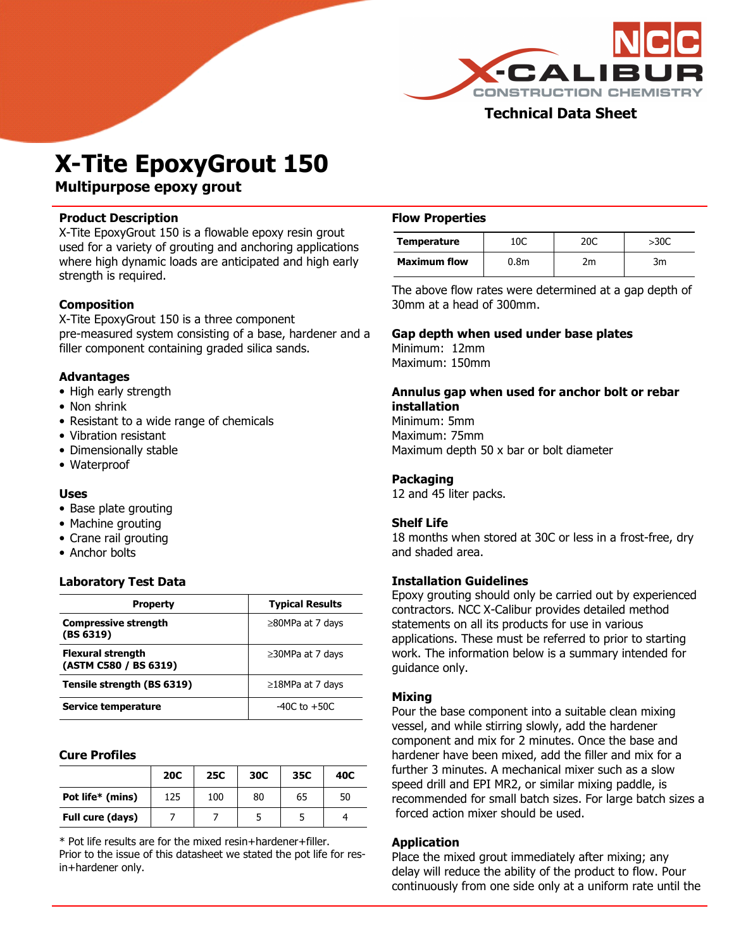

# Technical Data Sheet

# X-Tite EpoxyGrout 150

Multipurpose epoxy grout

## Product Description

X-Tite EpoxyGrout 150 is a flowable epoxy resin grout used for a variety of grouting and anchoring applications where high dynamic loads are anticipated and high early strength is required.

# Composition

X-Tite EpoxyGrout 150 is a three component pre-measured system consisting of a base, hardener and a filler component containing graded silica sands.

## Advantages

- High early strength
- Non shrink
- Resistant to a wide range of chemicals
- Vibration resistant
- Dimensionally stable
- Waterproof

## Uses

- Base plate grouting
- Machine grouting
- Crane rail grouting
- Anchor bolts

## Laboratory Test Data

| Property                                          | <b>Typical Results</b> |  |  |
|---------------------------------------------------|------------------------|--|--|
| <b>Compressive strength</b><br>(BS 6319)          | $\geq$ 80MPa at 7 days |  |  |
| <b>Flexural strength</b><br>(ASTM C580 / BS 6319) | $\geq$ 30MPa at 7 days |  |  |
| Tensile strength (BS 6319)                        | $\geq$ 18MPa at 7 days |  |  |
| Service temperature                               | $-40C$ to $+50C$       |  |  |

#### Cure Profiles

 $\overline{a}$ 

|                  | <b>20C</b> | <b>25C</b> | 30C | 35C | 40C |
|------------------|------------|------------|-----|-----|-----|
| Pot life* (mins) | 125        | 100        | 80  | 65  | 50  |
| Full cure (days) |            |            |     |     |     |

\* Pot life results are for the mixed resin+hardener+filler. Prior to the issue of this datasheet we stated the pot life for resin+hardener only.

## Flow Properties

| <b>Temperature</b>  | 10C  | 20C            | >30C |
|---------------------|------|----------------|------|
| <b>Maximum flow</b> | 0.8m | n <sub>m</sub> | ำ៳   |

The above flow rates were determined at a gap depth of 30mm at a head of 300mm.

## Gap depth when used under base plates

Minimum: 12mm Maximum: 150mm

#### Annulus gap when used for anchor bolt or rebar installation

Minimum: 5mm Maximum: 75mm Maximum depth 50 x bar or bolt diameter

## Packaging

12 and 45 liter packs.

## Shelf Life

18 months when stored at 30C or less in a frost-free, dry and shaded area.

## Installation Guidelines

Epoxy grouting should only be carried out by experienced contractors. NCC X-Calibur provides detailed method statements on all its products for use in various applications. These must be referred to prior to starting work. The information below is a summary intended for guidance only.

## Mixing

Pour the base component into a suitable clean mixing vessel, and while stirring slowly, add the hardener component and mix for 2 minutes. Once the base and hardener have been mixed, add the filler and mix for a further 3 minutes. A mechanical mixer such as a slow speed drill and EPI MR2, or similar mixing paddle, is recommended for small batch sizes. For large batch sizes a forced action mixer should be used.

## Application

Place the mixed grout immediately after mixing; any delay will reduce the ability of the product to flow. Pour continuously from one side only at a uniform rate until the